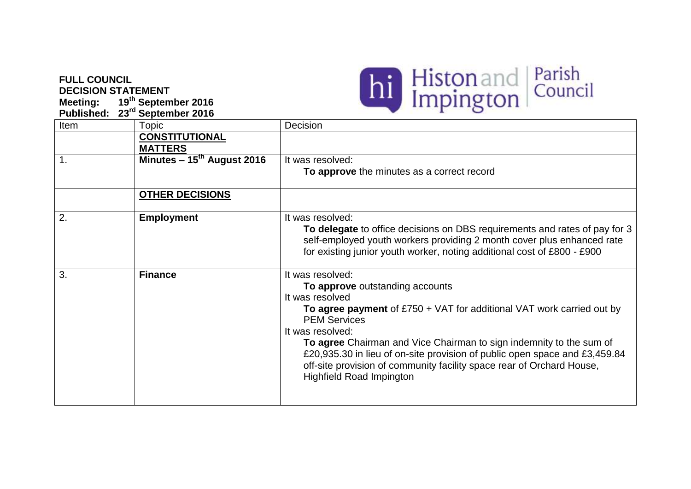## **FULL COUNCIL DECISION STATEMENT**

**Meeting: 19th September 2016**



| <b>Published:</b> | 23rd September 2016                     |                                                                                                                                                                                                                                                                                                                                                                                                                                                               |
|-------------------|-----------------------------------------|---------------------------------------------------------------------------------------------------------------------------------------------------------------------------------------------------------------------------------------------------------------------------------------------------------------------------------------------------------------------------------------------------------------------------------------------------------------|
| Item              | Topic                                   | Decision                                                                                                                                                                                                                                                                                                                                                                                                                                                      |
|                   | <b>CONSTITUTIONAL</b><br><b>MATTERS</b> |                                                                                                                                                                                                                                                                                                                                                                                                                                                               |
| 1.                | Minutes $-15^{th}$ August 2016          | It was resolved:                                                                                                                                                                                                                                                                                                                                                                                                                                              |
|                   |                                         | To approve the minutes as a correct record                                                                                                                                                                                                                                                                                                                                                                                                                    |
|                   | <b>OTHER DECISIONS</b>                  |                                                                                                                                                                                                                                                                                                                                                                                                                                                               |
| 2.                | <b>Employment</b>                       | It was resolved:<br>To delegate to office decisions on DBS requirements and rates of pay for 3<br>self-employed youth workers providing 2 month cover plus enhanced rate<br>for existing junior youth worker, noting additional cost of £800 - £900                                                                                                                                                                                                           |
| 3.                | <b>Finance</b>                          | It was resolved:<br>To approve outstanding accounts<br>It was resolved<br>To agree payment of $£750 + VAT$ for additional VAT work carried out by<br><b>PEM Services</b><br>It was resolved:<br>To agree Chairman and Vice Chairman to sign indemnity to the sum of<br>£20,935.30 in lieu of on-site provision of public open space and £3,459.84<br>off-site provision of community facility space rear of Orchard House,<br><b>Highfield Road Impington</b> |